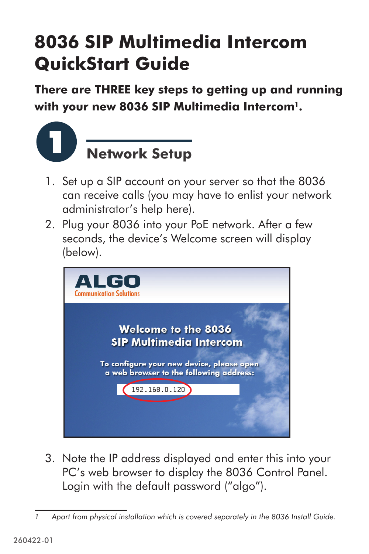## **8036 SIP Multimedia Intercom QuickStart Guide**

**There are THREE key steps to getting up and running with your new 8036 SIP Multimedia Intercom1.**



- 1. Set up a SIP account on your server so that the 8036 can receive calls (you may have to enlist your network administrator's help here).
- 2. Plug your 8036 into your PoE network. After a few seconds, the device's Welcome screen will display (below).



3. Note the IP address displayed and enter this into your PC's web browser to display the 8036 Control Panel. Login with the default password ("algo").

*<sup>1</sup>* Apart from physical installation which is covered separately in the [8036 Install Guide](http://www.algosolutions.com/pdf/user_guides/8036_SIP_Multimedia_Intercom_Install_Guide.pdf).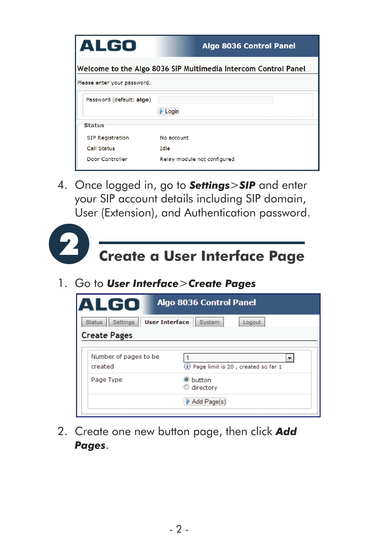| <b>ALGO</b>                                                    | Algo 8036 Control Panel     |  |  |  |  |
|----------------------------------------------------------------|-----------------------------|--|--|--|--|
| Welcome to the Algo 8036 SIP Multimedia Intercom Control Panel |                             |  |  |  |  |
| Please enter your password.                                    |                             |  |  |  |  |
| Password (default: algo)                                       |                             |  |  |  |  |
|                                                                | $L$ cain                    |  |  |  |  |
| <b>Status</b>                                                  |                             |  |  |  |  |
| <b>SIP Registration</b>                                        | No account                  |  |  |  |  |
| Call Status                                                    | Idle                        |  |  |  |  |
| Door Controller                                                | Relay module not configured |  |  |  |  |

4. Once logged in, go to *Settings*>*SIP* and enter your SIP account details including SIP domain, User (Extension), and Authentication password.



1. Go to *User Interface*>*Create Pages*

| <b>Algo 8036 Control Panel</b><br>ALGO<br><b>User Interface</b><br><b>Settings</b><br>System<br><b>Status</b><br>Logout |                                       |  |  |  |
|-------------------------------------------------------------------------------------------------------------------------|---------------------------------------|--|--|--|
|                                                                                                                         |                                       |  |  |  |
| Number of pages to be<br>created                                                                                        | i) Page limit is 20, created so far 1 |  |  |  |
| Page Type                                                                                                               | button<br>directory                   |  |  |  |
| -------------------------------------                                                                                   | Add Page(s)                           |  |  |  |

2. Create one new button page, then click *Add Pages*.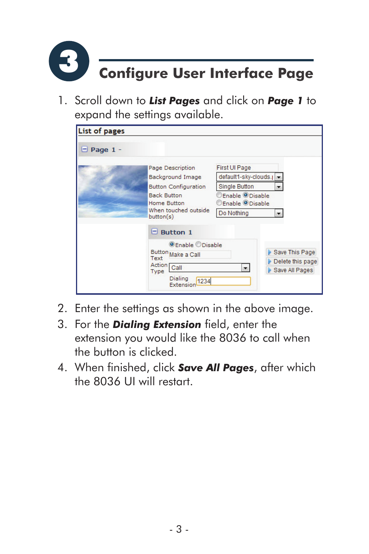

1. Scroll down to *List Pages* and click on *Page 1* to expand the settings available.

| <b>List of pages</b> |                                   |                                                            |                  |
|----------------------|-----------------------------------|------------------------------------------------------------|------------------|
| $\Box$ Page 1 -      |                                   |                                                            |                  |
|                      | Page Description                  | <b>First UI Page</b>                                       |                  |
|                      | <b>Background Image</b>           | default1-sky-clouds.j                                      |                  |
|                      | <b>Button Configuration</b>       | <b>Single Button</b>                                       |                  |
|                      | <b>Back Button</b><br>Home Button | Enable <sup>O</sup> Disable<br>Enable <sup>O</sup> Disable |                  |
|                      | When touched outside<br>button(s) | Do Nothing                                                 |                  |
|                      | $\Box$ Button 1                   |                                                            |                  |
|                      | <b>OEnable ODisable</b>           |                                                            |                  |
|                      | Button Make a Call                |                                                            | Save This Page   |
|                      | Text<br>Action Call               |                                                            | Delete this page |
|                      | Type                              |                                                            | Save All Pages   |
|                      | Dialing<br>1234<br>Extension      |                                                            |                  |

- 2. Enter the settings as shown in the above image.
- 3. For the *Dialing Extension* field, enter the extension you would like the 8036 to call when the button is clicked.
- 4. When finished, click *Save All Pages*, after which the 8036 UI will restart.